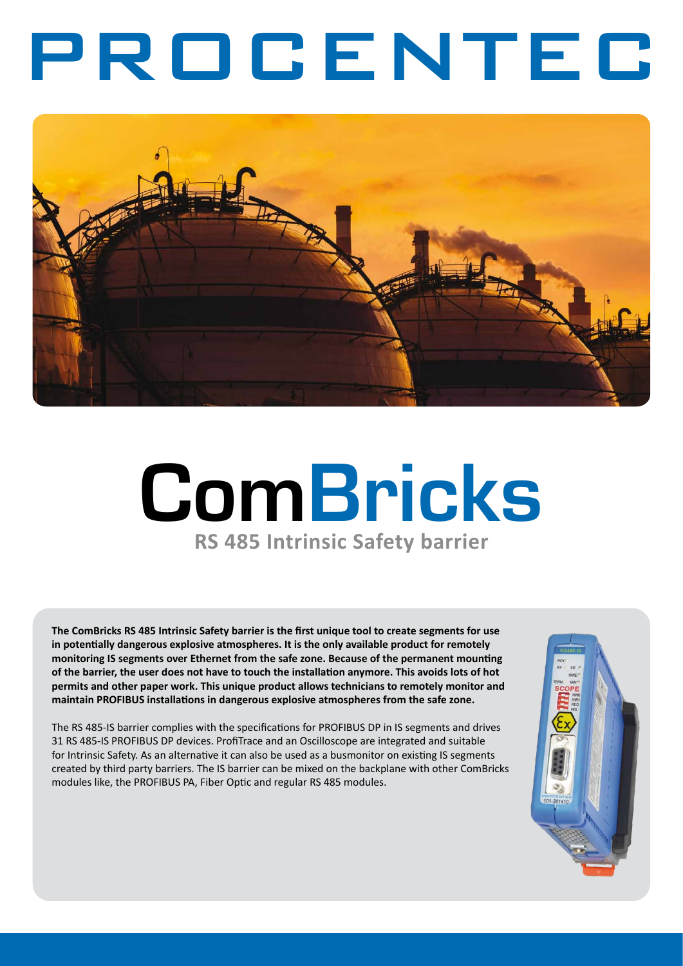# PROCENTEC



# **ComBricks RS 485 Intrinsic Safety barrier**

**The ComBricks RS 485 Intrinsic Safety barrier is the first unique tool to create segments for use in potentially dangerous explosive atmospheres. It is the only available product for remotely monitoring IS segments over Ethernet from the safe zone. Because of the permanent mounting of the barrier, the user does not have to touch the installation anymore. This avoids lots of hot permits and other paper work. This unique product allows technicians to remotely monitor and maintain PROFIBUS installations in dangerous explosive atmospheres from the safe zone.** 

The RS 485-IS barrier complies with the specifications for PROFIBUS DP in IS segments and drives 31 RS 485-IS PROFIBUS DP devices. ProfiTrace and an Oscilloscope are integrated and suitable for Intrinsic Safety. As an alternative it can also be used as a busmonitor on existing IS segments created by third party barriers. The IS barrier can be mixed on the backplane with other ComBricks modules like, the PROFIBUS PA, Fiber Optic and regular RS 485 modules.